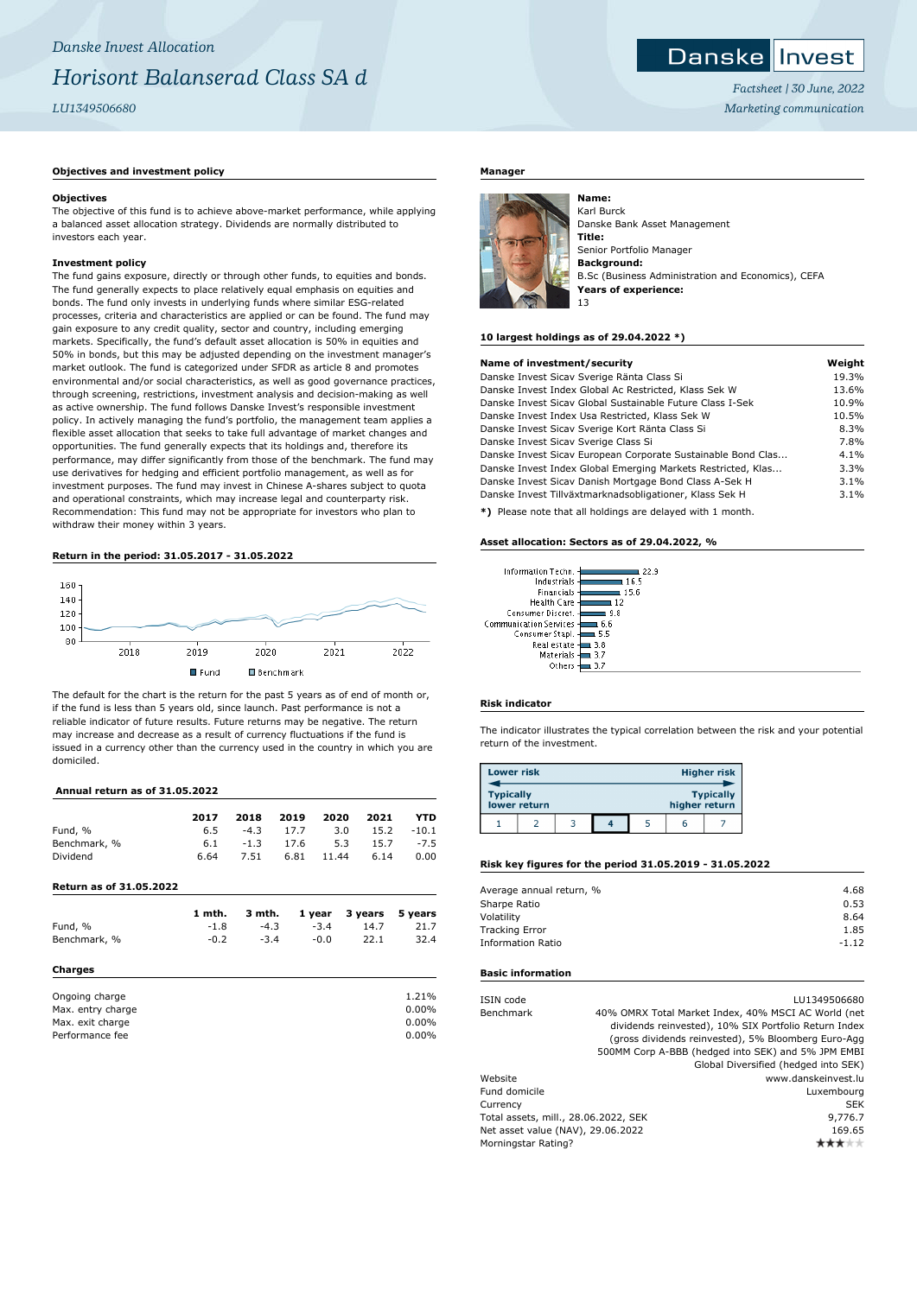## **Objectives and investment policy**

#### **Objectives**

The objective of this fund is to achieve above-market performance, while applying a balanced asset allocation strategy. Dividends are normally distributed to investors each year.

## **Investment policy**

The fund gains exposure, directly or through other funds, to equities and bonds. The fund generally expects to place relatively equal emphasis on equities and bonds. The fund only invests in underlying funds where similar ESG-related processes, criteria and characteristics are applied or can be found. The fund may gain exposure to any credit quality, sector and country, including emerging markets. Specifically, the fund's default asset allocation is 50% in equities and 50% in bonds, but this may be adjusted depending on the investment manager's market outlook. The fund is categorized under SFDR as article 8 and promotes environmental and/or social characteristics, as well as good governance practices, through screening, restrictions, investment analysis and decision-making as well as active ownership. The fund follows Danske Invest's responsible investment policy. In actively managing the fund's portfolio, the management team applies a flexible asset allocation that seeks to take full advantage of market changes and opportunities. The fund generally expects that its holdings and, therefore its performance, may differ significantly from those of the benchmark. The fund may use derivatives for hedging and efficient portfolio management, as well as for investment purposes. The fund may invest in Chinese A-shares subject to quota and operational constraints, which may increase legal and counterparty risk. Recommendation: This fund may not be appropriate for investors who plan to withdraw their money within 3 years.

## **Return in the period: 31.05.2017 - 31.05.2022**



The default for the chart is the return for the past 5 years as of end of month or, if the fund is less than 5 years old, since launch. Past performance is not a reliable indicator of future results. Future returns may be negative. The return may increase and decrease as a result of currency fluctuations if the fund is issued in a currency other than the currency used in the country in which you are domiciled.

#### **Annual return as of 31.05.2022**

|                         | 2017   | 2018   | 2019 | 2020   | 2021        | YTD      |
|-------------------------|--------|--------|------|--------|-------------|----------|
| Fund, %                 | 6.5    | $-4.3$ | 17.7 | 3.0    | 15.2        | $-10.1$  |
| Benchmark, %            | 6.1    | $-1.3$ | 17.6 |        | 15.7<br>5.3 | $-7.5$   |
| Dividend                | 6.64   | 7.51   | 6.81 | 11.44  | 6.14        | 0.00     |
| Return as of 31.05.2022 |        |        |      |        |             |          |
|                         | 1 mth. | 3 mth. |      | 1 year | 3 years     | 5 years  |
| Fund, %                 | $-1.8$ | $-4.3$ |      | $-3.4$ | 14.7        | 21.7     |
| Benchmark, %            | $-0.2$ | $-3.4$ |      | $-0.0$ | 22.1        | 32.4     |
| Charges                 |        |        |      |        |             |          |
| Ongoing charge          |        |        |      |        |             | 1.21%    |
| Max. entry charge       |        |        |      |        |             | $0.00\%$ |
| Max. exit charge        |        |        |      |        |             | 0.00%    |
| Performance fee         |        |        |      |        |             | 0.00%    |

## **Manager**



Karl Burck Danske Bank Asset Management **Title:** Senior Portfolio Manager **Background:** B.Sc (Business Administration and Economics), CEFA **Years of experience:** 13

#### **10 largest holdings as of 29.04.2022 \*)**

| Name of investment/security                                  | Weight |
|--------------------------------------------------------------|--------|
| Danske Invest Sicav Sverige Ränta Class Si                   | 19.3%  |
| Danske Invest Index Global Ac Restricted, Klass Sek W        | 13.6%  |
| Danske Invest Sicay Global Sustainable Future Class I-Sek    | 10.9%  |
| Danske Invest Index Usa Restricted, Klass Sek W              | 10.5%  |
| Danske Invest Sicav Sverige Kort Ränta Class Si              | 8.3%   |
| Danske Invest Sicav Sverige Class Si                         | 7.8%   |
| Danske Invest Sicav European Corporate Sustainable Bond Clas | 4.1%   |
| Danske Invest Index Global Emerging Markets Restricted, Klas | 3.3%   |
| Danske Invest Sicav Danish Mortgage Bond Class A-Sek H       | 3.1%   |
| Danske Invest Tillväxtmarknadsobligationer, Klass Sek H      | 3.1%   |
| *) Please note that all holdings are delayed with 1 month    |        |

**\*)** Please note that all holdings are delayed with 1 month.

### **Asset allocation: Sectors as of 29.04.2022, %**

| Information Techn.            |      |
|-------------------------------|------|
| Industrials                   | 16.5 |
| Financials                    | 15.6 |
| <b>Health Care</b>            |      |
| Consumer Discret.             | 98   |
| <b>Communication Services</b> | 6.6  |
| Consumer Stapl.               | 5.5  |
| Real estate                   | 3.8  |
| Materials                     | 3.7  |
| Others                        |      |
|                               |      |

## **Risk indicator**

The indicator illustrates the typical correlation between the risk and your potential return of the investment.

| <b>Lower risk</b> |              |  |               | <b>Higher risk</b> |
|-------------------|--------------|--|---------------|--------------------|
| <b>Typically</b>  | lower return |  | higher return | <b>Typically</b>   |
|                   |              |  | h             |                    |

#### **Risk key figures for the period 31.05.2019 - 31.05.2022**

| Average annual return, % | 4.68    |
|--------------------------|---------|
| Sharpe Ratio             | 0.53    |
| Volatility               | 8.64    |
| <b>Tracking Error</b>    | 1.85    |
| <b>Information Ratio</b> | $-1.12$ |
|                          |         |

#### **Basic information**

| ISIN code                            |  | LU1349506680                                          |
|--------------------------------------|--|-------------------------------------------------------|
| Benchmark                            |  | 40% OMRX Total Market Index, 40% MSCI AC World (net   |
|                                      |  | dividends reinvested), 10% SIX Portfolio Return Index |
|                                      |  | (gross dividends reinvested), 5% Bloomberg Euro-Agg   |
|                                      |  | 500MM Corp A-BBB (hedged into SEK) and 5% JPM EMBI    |
|                                      |  | Global Diversified (hedged into SEK)                  |
| Website                              |  | www.danskeinvest.lu                                   |
| Fund domicile                        |  | Luxembourg                                            |
| Currency                             |  | <b>SEK</b>                                            |
| Total assets, mill., 28.06.2022, SEK |  | 9,776.7                                               |
| Net asset value (NAV), 29.06.2022    |  | 169.65                                                |
| Morningstar Rating?                  |  |                                                       |
|                                      |  |                                                       |



*Factsheet | 30 June, 2022 Marketing communication*